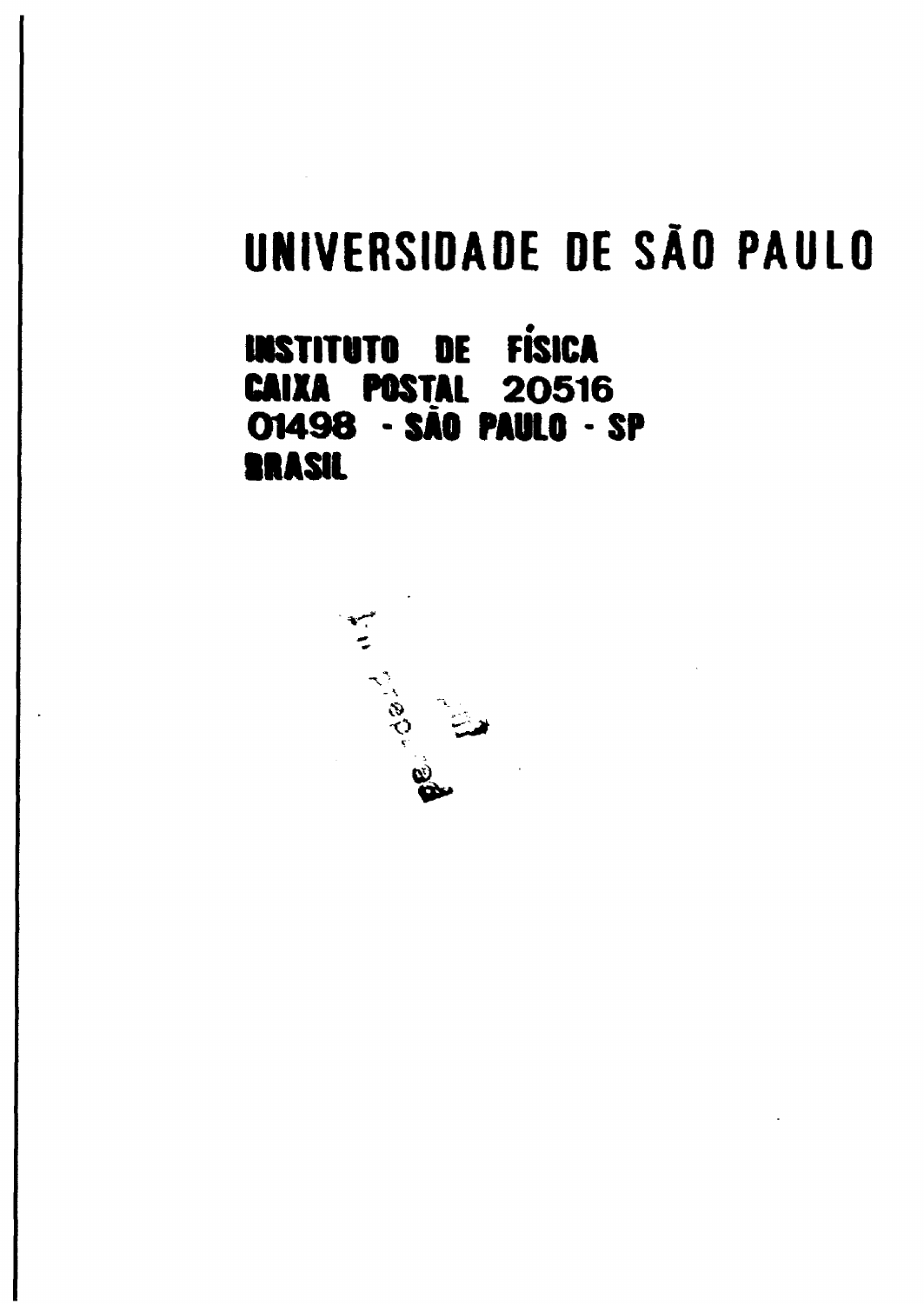## UNIVERSIDADE DE SÃO PAULO

### **INSTITUTO DE FÍSICA** 20516 **CAIXA POSTAL** 01498 - SÃO PAULO - SP **BRASIL**

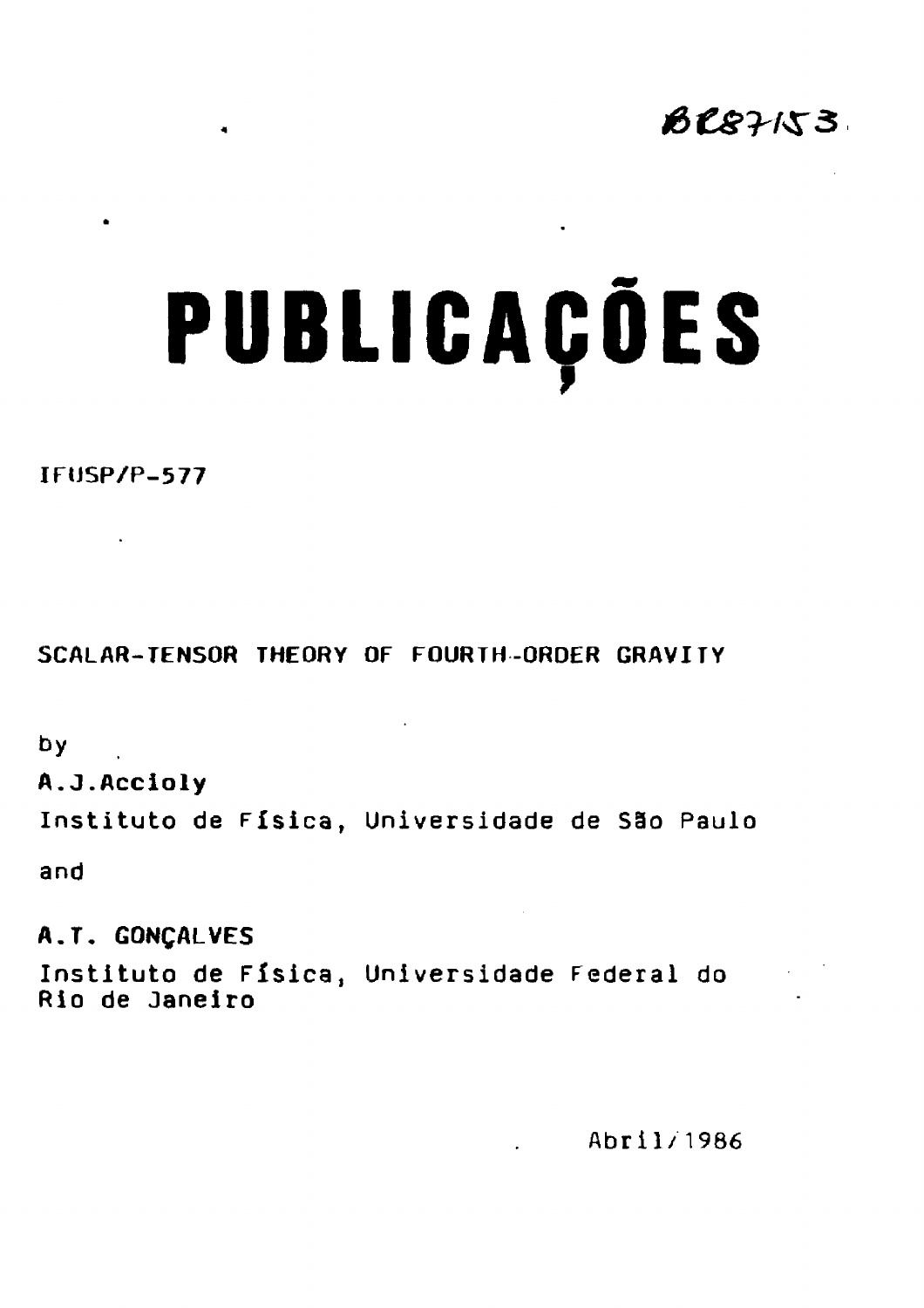

# **PUBLICAÇÕES**

**IRJSP/P-577**

 $\bullet$ 

 $\bullet$ 

**SCALAR-TENSOR THEORY OF FOURTH -ORDER GRAVITY**

**by**

**A.J.Accioly**

**Instituto de Física, Universidade de São Paulo**

**and**

**A.T. GONÇALVES Instituto de Física, Universidade Federal do Rio de Janeiro**

**Abril/1986**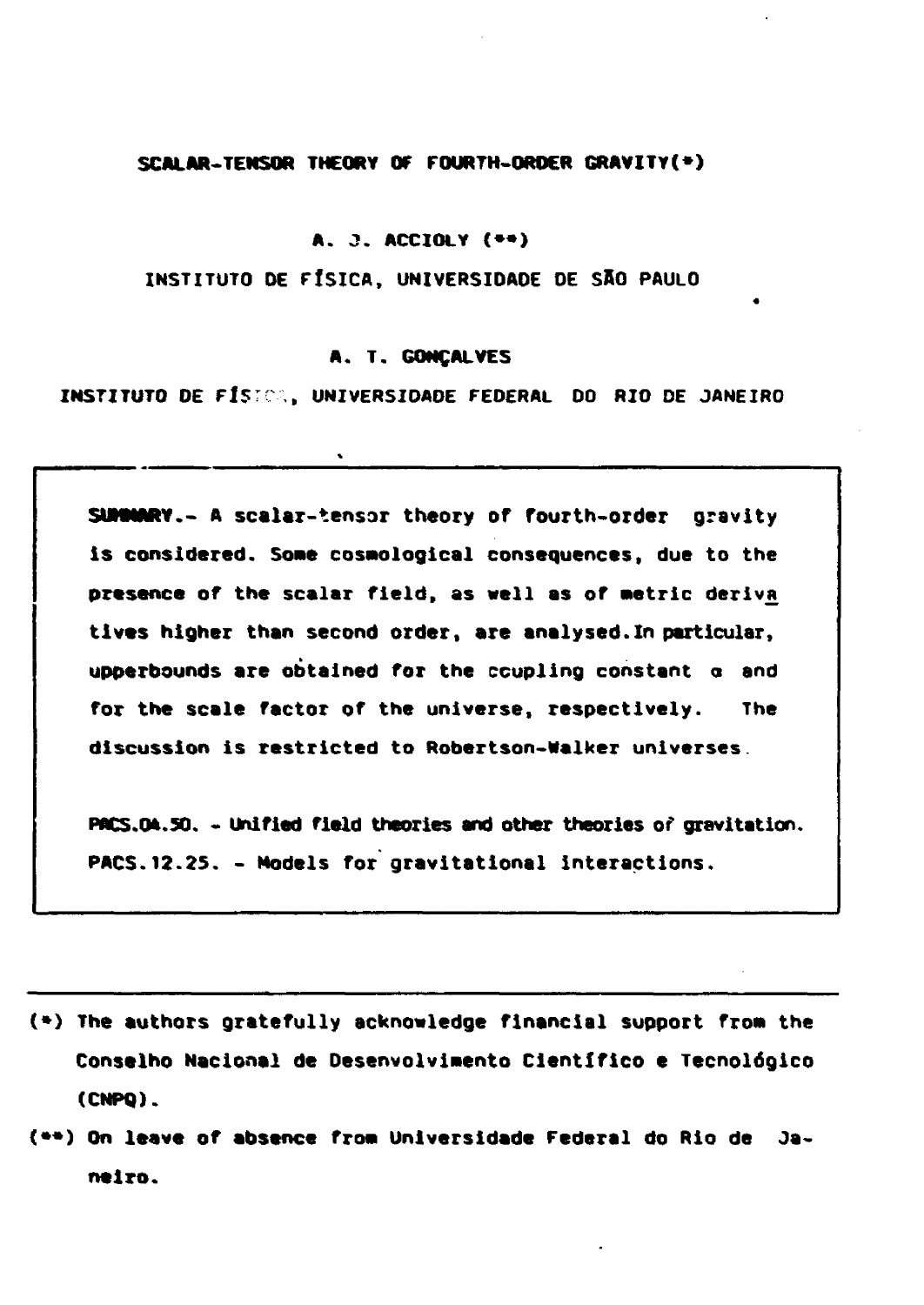#### **SCALAR-TENSOR THEORY OF FOURTH-ORDER GRAVITY(\*)**

#### **A. 3. ACCIOLY {•\*)**

**INSTITUTO DE FÍSICA, UNIVERSIDADE DE SfiO PAULO**

#### **A. T. GONÇALVES**

**INSTITUTO DE ft\$:C > UNIVERSIDADE FEDERAL DO RIO DE JANEIRO**

**SUMMARY.- A scalar-tensor theory of fourth-order gravity is considered. So»e cosoological consequences, due to the presence of the scalar field, as well as of Metric deriva tlves higher than second order, are analysed.In particular, upperbounds are obtained for the coupling constant a and for the scale factor of the universe, respectively. The discussion is restricted to Robertson-Walker universes.**

**PflCS.0A.50. - Unified field theories and other theories of gravitation. PACS.12.25. - Models for gravitational interactions.**

- **(\*) The authors gratefully acknowledge financial support from the Conselho Nacional de Desenvolvimento Cientifico e Tecnológico (CNPQ).**
- **(••) On leave of absence fro» Universidade Federal do Rio de Janeiro.**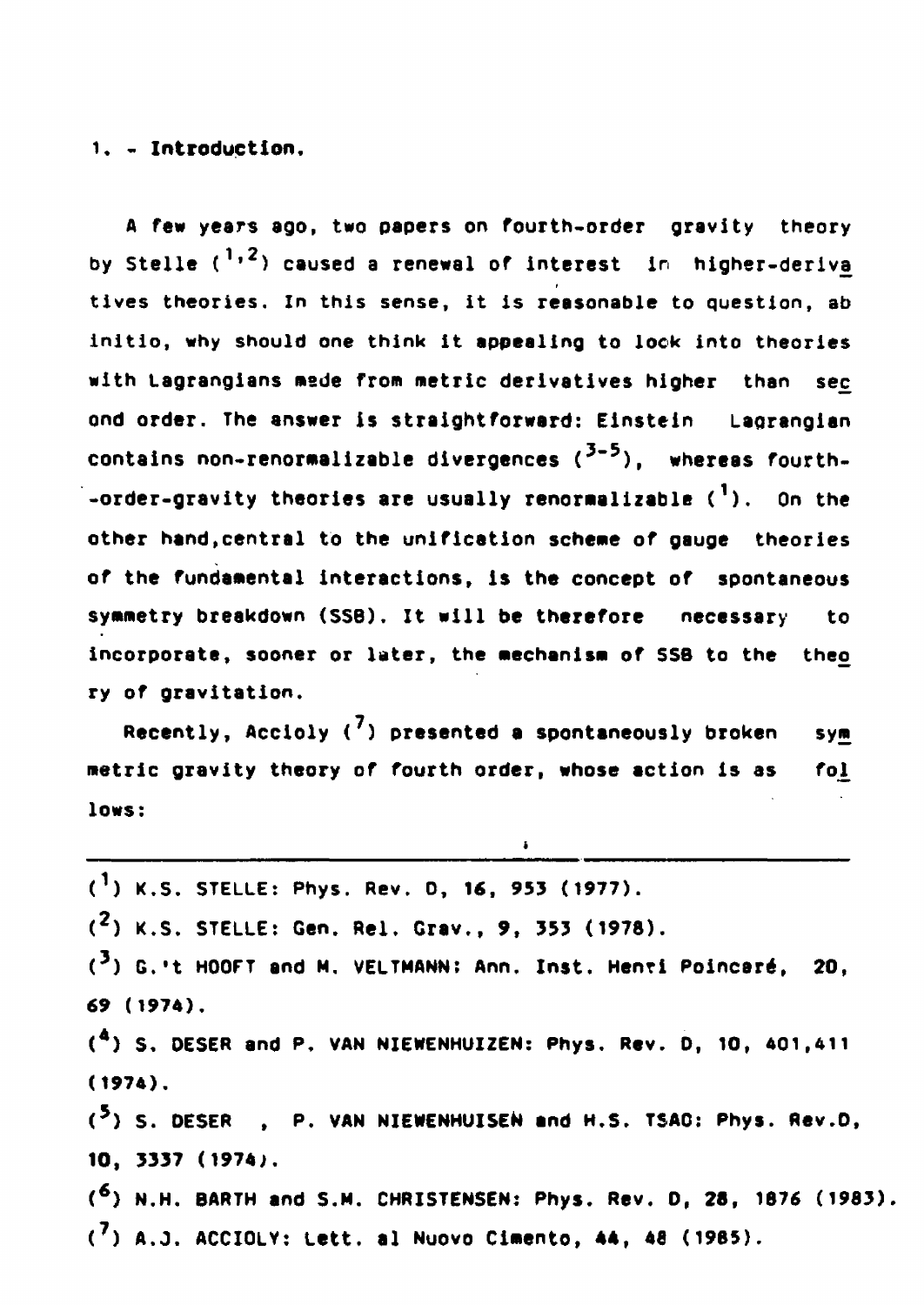#### **1. - Introduction.**

**A few years ago, two papers on fourth.order gravity theory by Stelle (1| ) caused a renewal of interest In higher-derivé» tives theories. In this sense, it is reasonable to question, ab initio, why should one think it appealing to look into theories with Lagrangians made from metric derivatives higher than sec ond order. The answer is straightforward: Einstein Lagrangian contains non-renormalizable divergences Í <sup>3</sup> ' <sup>5</sup> ) , whereas fourth, •order-gravity theories are usually renormalizable C <sup>1</sup> ) . On the other hand,central to the unification scheme of gauge theories of the fundamental interactions, is the concept of spontaneous symmetry breakdown (SSB). It will be therefore necessary to incorporate, sooner or later, the mechanism of SSB to the theo ry of gravitation.**

**Recently, Accloly ( ) presented a spontaneously broken sym metric gravity theory of fourth order, whose action is as fol lows:**

ï

| $(1)$ K.S. STELLE: Phys. Rev. D, 16, 953 (1977).                             |
|------------------------------------------------------------------------------|
| $(2)$ K.S. STELLE: Gen. Rel. Grav., 9, 353 (1978).                           |
| ( <sup>3</sup> ) G.'t HOOFT and M. VELTMANN: Ann. Inst. Henti Poincaré, 20,  |
| 69 (1974).                                                                   |
| ( <sup>4</sup> ) S. DESER and P. VAN NIEWENHUIZEN: Phys. Rev. D, 10, 401,411 |
| (1974).                                                                      |
| ( <sup>5</sup> ) S. DESER , P. VAN NIEWENHUISEN and H.S. TSAG: Phys. Rev.D,  |
| 10, 3337 (1974).                                                             |
| $(6)$ N.H. BARTH and S.M. CHRISTENSEN: Phys. Rev. D, 28, 1876 (1983).        |
| $(7)$ A.J. ACCIOLY: Lett. al Nuovo Cimento, 44, 48 (1985).                   |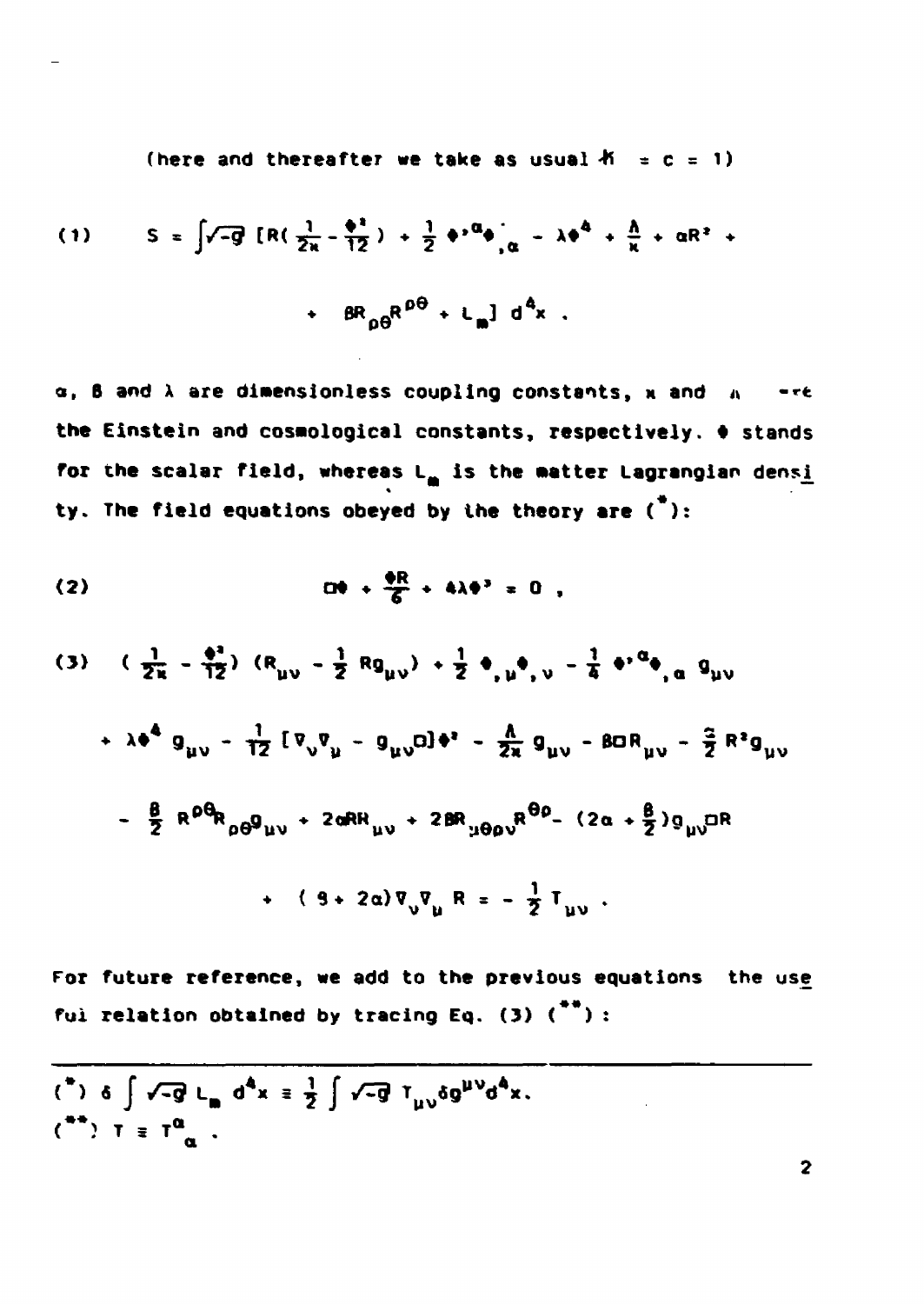(here and thereafter we take as usual  $K = c = 1$ )

(1) 
$$
S = \int \sqrt{-g} [R(\frac{1}{2x} - \frac{\phi^2}{12}) + \frac{1}{2} \phi^2 \phi]_{\alpha} - \lambda \phi^4 + \frac{\hbar}{\kappa} + \alpha R^2 + \frac{\hbar}{2} \phi^2 \phi^2 + \frac{1}{2} \phi^2 \phi^2 + \frac{1}{2} \phi^3 \phi^3 + \frac{1}{2} \phi^4 \phi^2
$$

a, B and  $\lambda$  are dimensionless coupling constants, x and  $\lambda = -\epsilon$ the Einstein and cosmological constants, respectively.  $\phi$  stands for the scalar field, whereas L<sub>m</sub> is the matter Lagrangian densi ty. The field equations obeyed by the theory are  $(*)$ :

$$
(3) \quad (\frac{1}{2\kappa} - \frac{\phi^2}{12}) \quad (R_{\mu\nu} - \frac{1}{2} Rg_{\mu\nu}) + \frac{1}{2} \phi_{\mu} \phi_{\mu} - \frac{1}{4} \phi^{\mu} \phi_{\mu} a g_{\mu\nu}
$$
  
+  $\lambda \phi^4 g_{\mu\nu} - \frac{1}{12} [\nabla_{\nu} \nabla_{\mu} - g_{\mu\nu} a] \phi^{\mu} - \frac{A}{2\kappa} g_{\mu\nu} - B a R_{\mu\nu} - \frac{a}{2} R^2 g_{\mu\nu}$   
-  $\frac{B}{2} R^{\rho} \theta_{R_{\rho\theta}} g_{\mu\nu} + 2 a R_{\mu\nu} + 2 B R_{\mu} \theta_{\rho\nu} R^{\theta\rho} - (2 a + \frac{B}{2}) g_{\mu\nu} a R$   
+  $( 3 + 2 a) \nabla_{\nu} \nabla_{\mu} R = -\frac{1}{2} T_{\mu\nu}$ .

For future reference, we add to the previous equations the use ful relation obtained by tracing Eq. (3)  $\binom{**}{*}$  :

$$
\begin{array}{l}\n\text{(*)} & \text{(*)} \\
\text{(*)} & \text{(*)} \\
\text{(*)} & \text{(*)} \\
\text{(*)} & \text{(*)} \\
\text{(*)} & \text{(*)} \\
\text{(*)} & \text{(*)} \\
\text{(*)} & \text{(*)} \\
\text{(*)} & \text{(*)} \\
\text{(*)} & \text{(*)} \\
\text{(*)} & \text{(*)} \\
\text{(*)} & \text{(*)} \\
\text{(*)} & \text{(*)} \\
\text{(*)} & \text{(*)} \\
\text{(*)} & \text{(*)} \\
\text{(*)} & \text{(*)} \\
\text{(*)} & \text{(*)} \\
\text{(*)} & \text{(*)} \\
\text{(*)} & \text{(*)} \\
\text{(*)} & \text{(*)} \\
\text{(*)} & \text{(*)} \\
\text{(*)} & \text{(*)} \\
\text{(*)} & \text{(*)} \\
\text{(*)} & \text{(*)} \\
\text{(*)} & \text{(*)} \\
\text{(*)} & \text{(*)} \\
\text{(*)} & \text{(*)} \\
\text{(*)} & \text{(*)} \\
\text{(*)} & \text{(*)} \\
\text{(*)} & \text{(*)} \\
\text{(*)} & \text{(*)} \\
\text{(*)} & \text{(*)} \\
\text{(*)} & \text{(*)} \\
\text{(*)} & \text{(*)} \\
\text{(*)} & \text{(*)} \\
\text{(*)} & \text{(*)} \\
\text{(*)} & \text{(*)} \\
\text{(*)} & \text{(*)} \\
\text{(*)} & \text{(*)} \\
\text{(*)} & \text{(*)} \\
\text{(*)} & \text{(*)} \\
\text{(*)} & \text{(*)} \\
\text{(*)} & \text{(*)} \\
\text{(*)} & \text{(*)} \\
\text{(*)} & \text{(*)} \\
\text{(*)} & \text{(*)} \\
\text{(*)} & \text{(*)} \\
\text{(*)} & \text{(*)} \\
\text{(*)} & \text{(*)} \\
\text{(*)} & \text{(*)} \\
\text{(*)} & \text{(*)} \\
\text{(*)} & \text{(*)} \\
\text{(*)} & \text{(*)} \\
\text{(*)} & \text{(*)} \\
\text{(*)} & \text
$$

 $\overline{2}$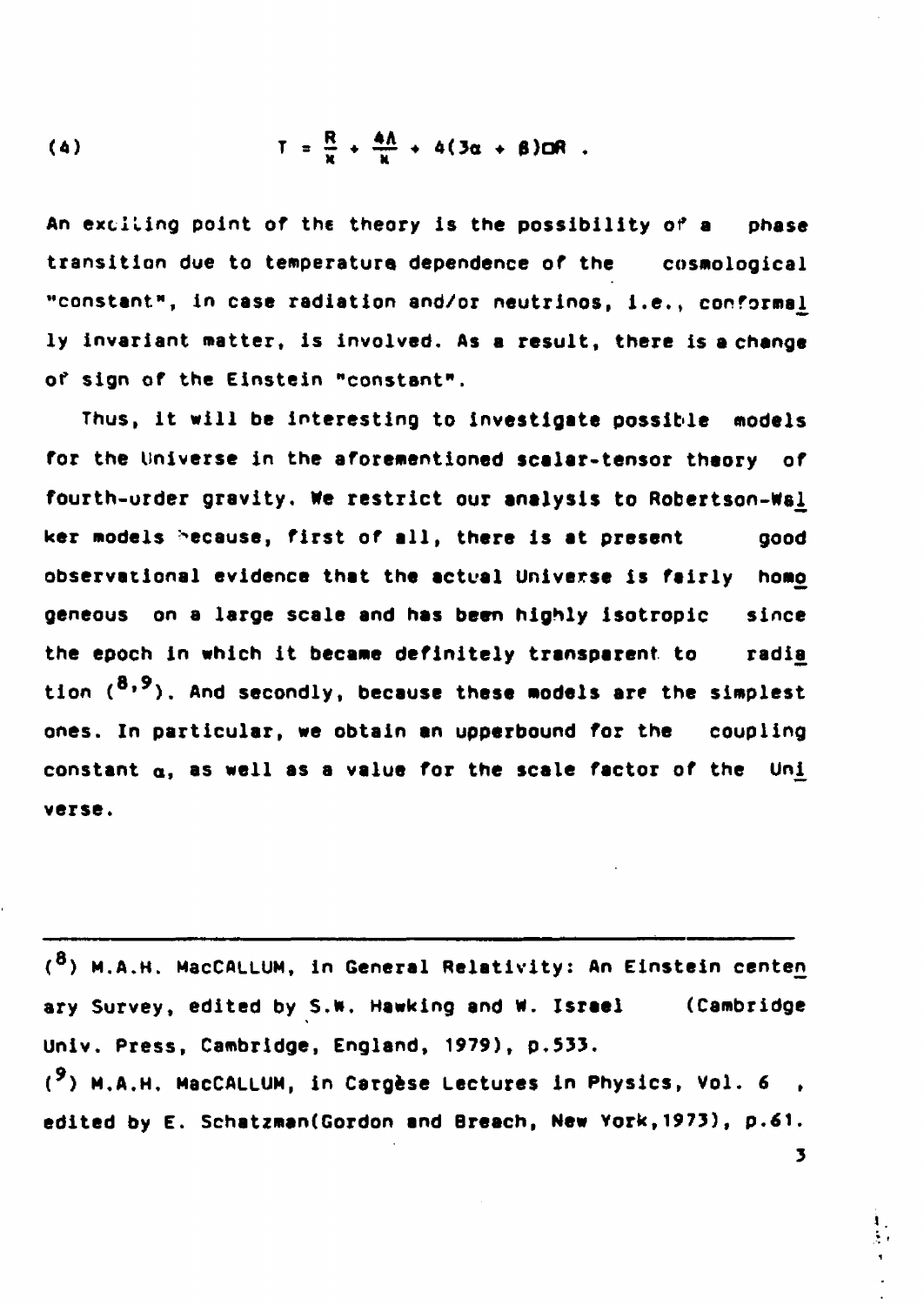$$
(4) \tT = \frac{R}{x} + \frac{4\Lambda}{u} + 4(3\alpha + \beta)\Box R.
$$

**An extiling point of the theory is the possibility of a phase transition due to temperatura dependence of the cosmological "constant", In case radiation and/or neutrinos, i.e.» conforma^ ly invariant matter, is involved. As a result, there is a change of sign of the Einstein "constant".**

**Thus, it will be Interesting to investigate possible models for the Universe in the aforementioned scalar-tensor theory of fourth-urder gravity. We restrict our analysis to Robertson-Ms^ ker models because, first of all, there is at present good observational evidence that the actual Universe is fairly homo geneous on a large scale and has been highly isotropic since the epoch in which it became definitely transparent to radia\_** tion (<sup>8,9</sup>). And secondly, because these models are the simplest **ones. In particular, we obtain an upperbound for the coupling** constant  $\alpha$ , as well as a value for the scale factor of the Uni **verse.**

**( <sup>8</sup>) M.A.H. MacCALLUM, in General Relativity: An Einstein centen ary Survey, edited by S.N. Hawking and w. Israel (Cambridge Univ. Press, Cambridge, England, 1979), p.533. ( <sup>9</sup>) M.A.H. MacCALLUM, in Cargèse Lectures In Physics, Vol. 6 ,** edited by E. Schatzman(Gordon and Breach, New York, 1973), p.61.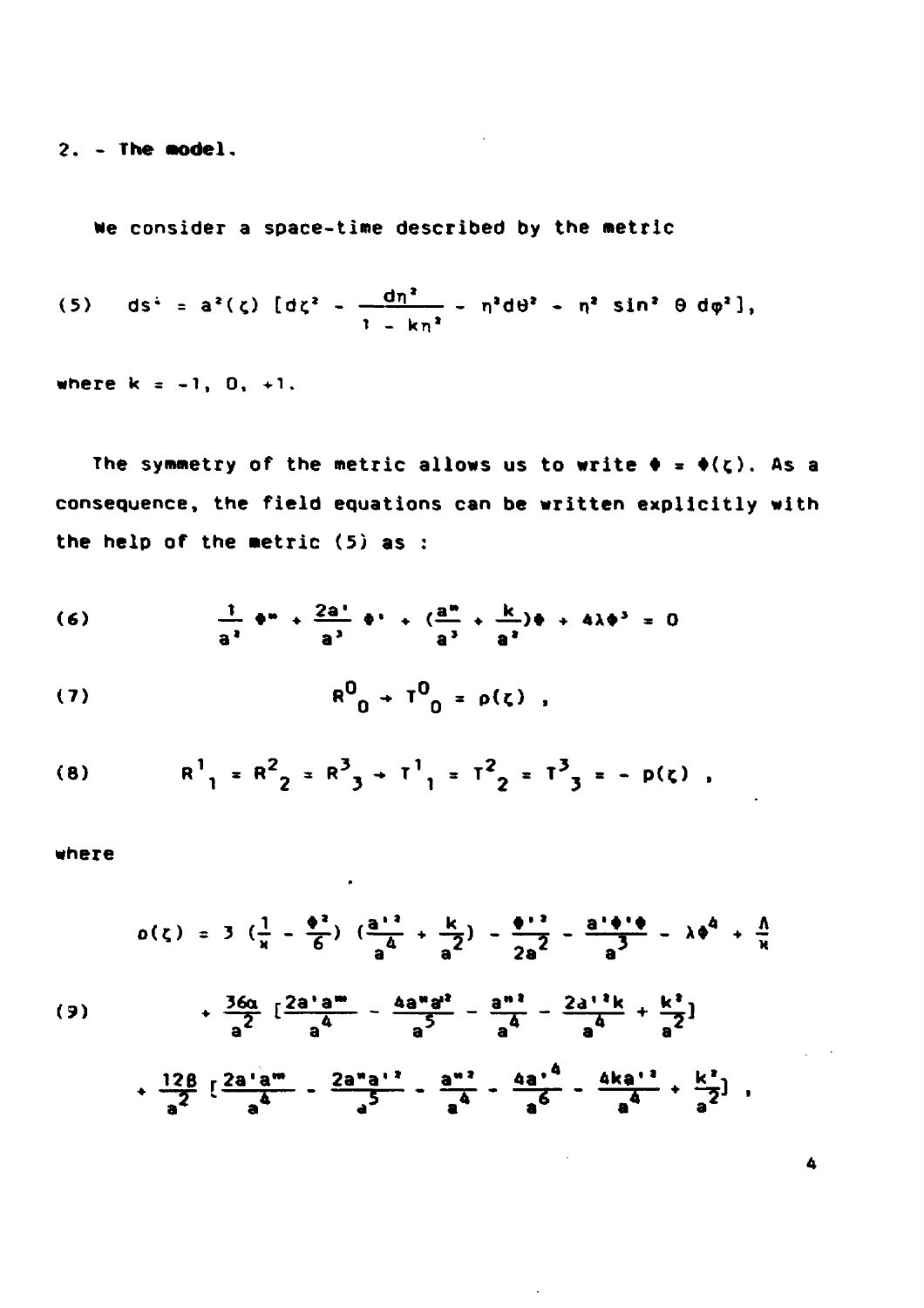$2. -$  The model.

We consider a space-time described by the metric

(5) 
$$
ds^2 = a^2(\zeta) [d\zeta^2 - \frac{dn^2}{1 - kn^2} - n^2 d\theta^2 - n^2 sin^2 \theta d\phi^2],
$$

 $\sim 10^{11}$ 

where  $k = -1, 0, +1.$ 

The symmetry of the metric allows us to write  $\phi = \phi(\zeta)$ . As a consequence, the field equations can be written explicitly with the help of the metric  $(5)$  as :

$$
\frac{1}{a^2} \cdot \frac{a^2}{a^3} + \frac{2a^2}{a^3} \cdot \frac{a^3}{a^3} + \frac{k}{a^3} \cdot \frac{k}{a^2} = 0
$$

(7) 
$$
R^{0}{}_{0} + T^{0}{}_{0} = \rho(\zeta) ,
$$

(8) 
$$
R^{1}{}_{1} = R^{2}{}_{2} = R^{3}{}_{3} + T^{1}{}_{1} = T^{2}{}_{2} = T^{3}{}_{3} = -p(\zeta)
$$

 $\bullet$ 

where

$$
o(\zeta) = 3 \left( \frac{1}{x} - \frac{\phi^2}{6} \right) \left( \frac{a^{11}}{a^4} + \frac{k}{a^2} \right) - \frac{\phi^{12}}{2a^2} - \frac{a^{1}\phi^{1}\phi}{a^3} - \lambda \phi^4 + \frac{\Lambda}{\lambda}
$$

(9) 
$$
+\frac{36a}{a^2}\left[\frac{2a'a^m}{a^4}-\frac{4a^m a^2}{a^5}-\frac{a^{m2}}{a^4}-\frac{2a^{12}k}{a^4}+\frac{k^2}{a^2}\right]
$$

$$
+\frac{128}{a^2} \left[\frac{2a'a^m}{a^4} - \frac{2a^na^{12}}{a^5} - \frac{a^{m2}}{a^4} - \frac{4a^{14}}{a^6} - \frac{4ka^{12}}{a^4} + \frac{k^2}{a^2}\right],
$$

 $\overline{a}$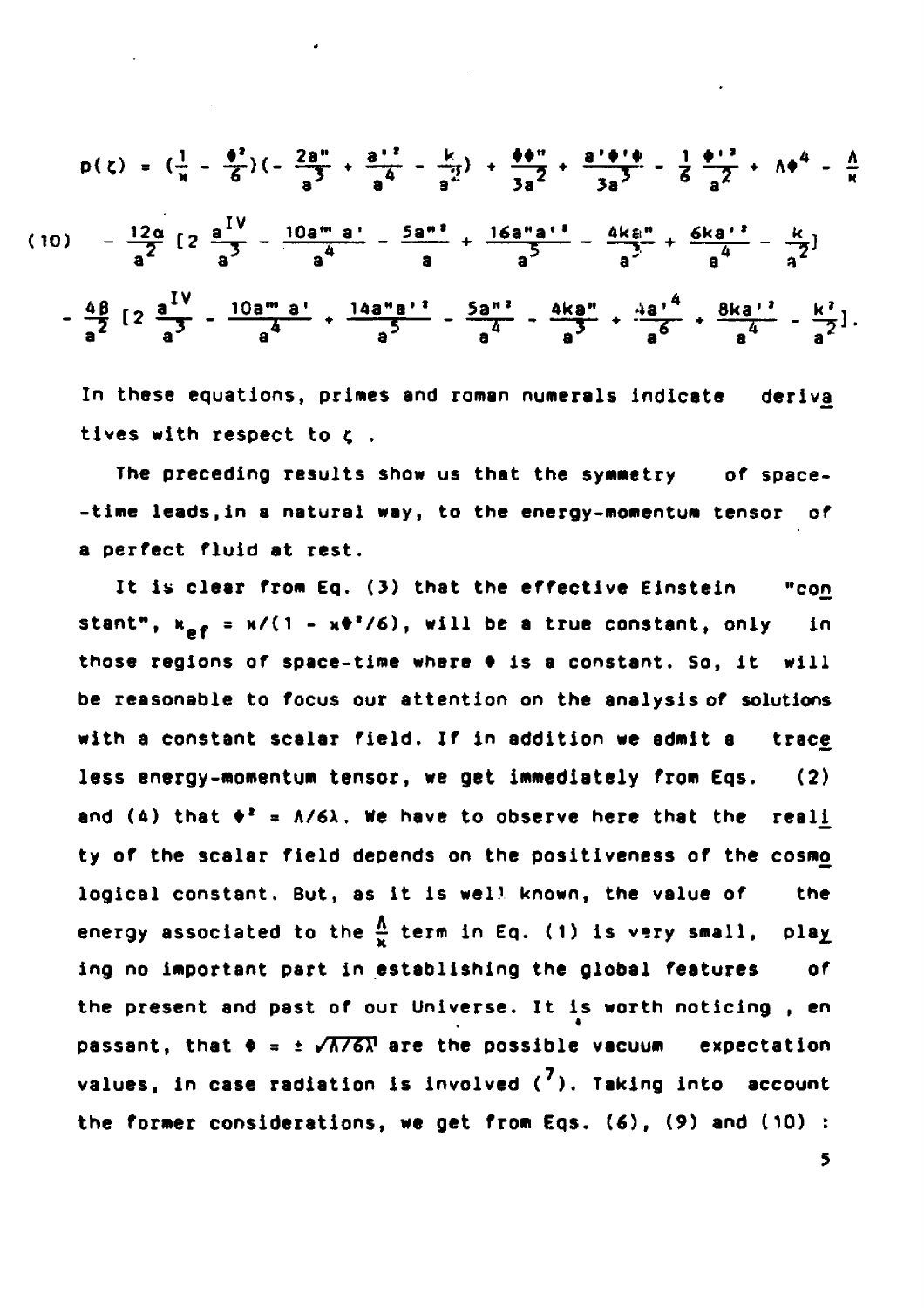$$
p(\zeta) = \left(\frac{1}{x} - \frac{\phi^2}{6}\right)\left(-\frac{2a^4}{a^3} + \frac{a^{12}}{a^4} - \frac{k}{a^2}\right) + \frac{\phi^4}{3a^2} + \frac{a^{1}\phi^4}{3a^3} - \frac{1}{6}\frac{\phi^{12}}{a^2} + \Lambda\phi^4 - \frac{\Lambda}{R}
$$
\n
$$
(10) = \frac{12a}{a^2} \left[2\frac{a^{IV}}{a^3} - \frac{10a^{m}a^{1}}{a^4} - \frac{5a^{m} }{a} + \frac{16a^{m}a^{13}}{a^5} - \frac{4k\epsilon^{m}}{a^3} + \frac{6ka^{12}}{a^4} - \frac{k}{a^2}\right]
$$
\n
$$
-\frac{4\beta}{a^2} \left[2\frac{a^{IV}}{a^3} - \frac{10a^{m}a^{1}}{a^4} + \frac{14a^{m}a^{12}}{a^5} - \frac{5a^{m} }{a^4} - \frac{4k\epsilon^{m}}{a^5} + \frac{4a^{14}}{a^6} + \frac{8ka^{12}}{a^4} - \frac{k^2}{a^2}\right].
$$

**In these equations, primes and roman numerals Indicate deriva\_ tives with respect to ç .**

**The preceding results show us that the symmetry of space- -time leads,in a natural way, to the energy-momentum tensor of a perfect fluid at rest.**

**It is clear from Eq. (3) that the effective Einstein "con** stant<sup>\*</sup>,  $\kappa_{\mathbf{p}f} = \kappa/(1 - \kappa \Phi^2/6)$ , will be a true constant, only in **those regions of space-time where • is a constant. So, it will be reasonable to focus our attention on the analysis of solutions with a constant scalar field. If in addition we admit a trace, less energy-momentum tensor, we get immediately from Eqs. (2)** and (4) that  $\phi^2 = \Lambda/6\lambda$ , we have to observe here that the reali **ty of the scalar field depends on the positiveness of the cosmç) logical constant. But, as it is well known, the value of the energy associated to the**  $\frac{\Lambda}{\mu}$  **term in Eq. (1) is very small, play ing no important part in establishing the global features of the present and past of our Universe. It is worth noticing , en passant, that**  $\Phi = \pm \sqrt{\frac{\lambda}{6}}$  **are the possible vacuum expectation values, in case radiation is involved ( ). Taking into account the former considerations, we get from Eqs. (6), (9) and (10) :**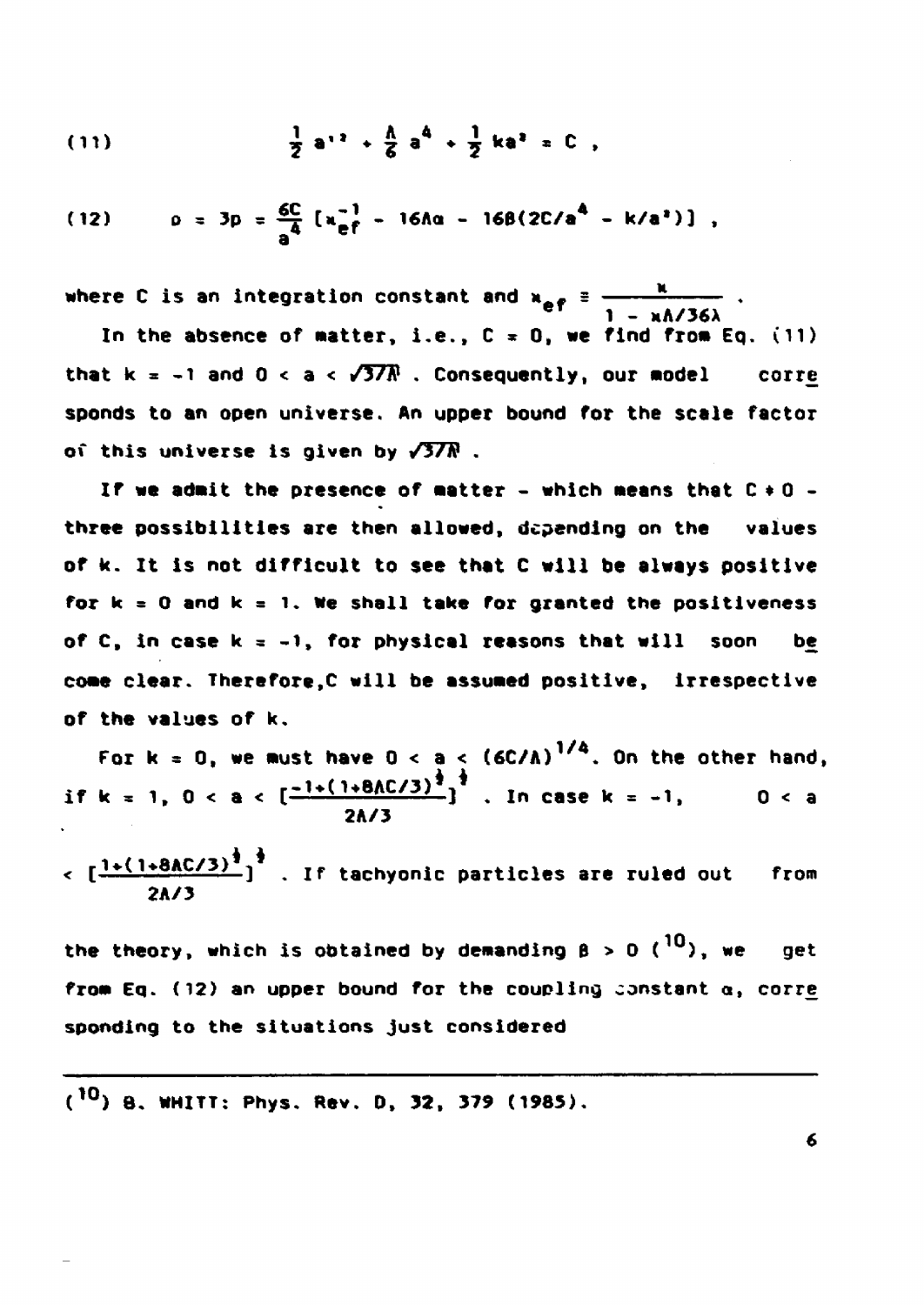(11) 
$$
\frac{1}{2}a^{12} + \frac{1}{6}a^4 + \frac{1}{2}ka^2 = 0
$$

(12) 
$$
\rho = 3p = \frac{6C}{a^4} [x_{\text{eff}}^{-1} - 16A\alpha - 16\beta(2C/a^4 - k/a^4)]
$$
,

where C is an integration constant and  $\mathbf{a_{a,f}}$  = ----------------------------

 $\frac{c_1}{c_2} = \frac{1}{2} - \frac{1}{2}$ In the absence of matter, i.e.,  $C = 0$ , we find from Eq. (11) **that k = -1 and 0 < a < /3/A<sup>1</sup> . Consequently, our nodel corre sponds to an open universe. An upper bound for the scale factor of this universe Is given by /3/A<sup>1</sup> .**

**If we adnit the presence of natter - which neans that C • 0 three possibilities are then allowed, depending on the values of k. It is not difficult to see that C will be always positive for k = 0 and k = l. We shall take for granted the positlveness of C, in case k = -l, for physical reasons that will soon be cone clear. Therefore,C will be assuned positive, irrespective of the values of k»**

**For k s 0, we nust have 0 < a < (6C/A) . On the other hand, if k = 1, 0 < a < [\*wt 1+8AC/3) j ^<sup>l</sup> n cas e k = .i( 0 < a 2A/3**

**< [i»(i\*8AC/3) j<sup>I</sup> f tachyoni <sup>c</sup> particles are ruled out from 2A/3**

the theory, which is obtained by demanding  $\beta > 0$  (<sup>10</sup>), we get from Eq. (12) an upper bound for the coupling constant  $\alpha$ , corre **spending to the situations just considered**

**( <sup>10</sup>) 8. WHITT: Phys. Rev. 0, 32, 379 (1985).**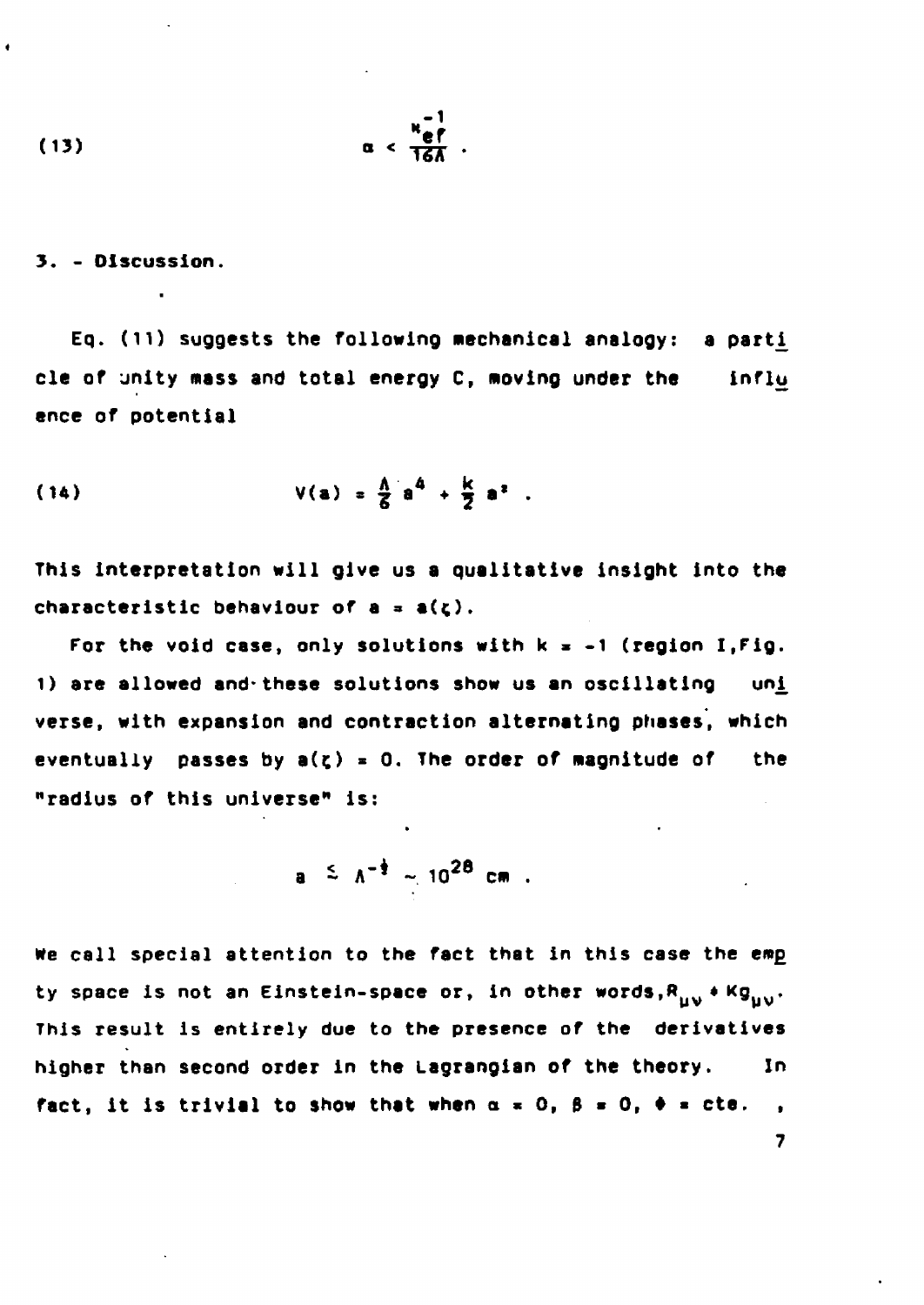$$
\alpha < \frac{\kappa_{\text{eff}}^{-1}}{13}.
$$

**3. - Discussion.**

 $\bullet$ 

•

Eq. (11) suggests the following mechanical analogy: a parti **cle of jnity mass and total energy C, moving under the influ ence of potential**

(14) 
$$
V(a) = \frac{A}{B} a^4 + \frac{K}{2} a^2
$$
.

**This interpretation will give us a qualitative insight into the** characteristic behaviour of a = a( $\zeta$ ).

For the void case, only solutions with  $k = -1$  (region I, Fig. 1) are allowed and these solutions show us an oscillating uni **verse, with expansion and contraction alternating phases, which** eventually passes by  $a(z) = 0$ . The order of magnitude of the **"radius of this universe" is:**

$$
a \leq \Lambda^{-\frac{1}{2}} \sim 10^{28} \text{ cm}
$$

We call special attention to the fact that in this case the emp ty space is not an Einstein-space or, in other words, R<sub>ivy</sub> + Kg<sub>ov</sub>. **This result is entirely due to the presence of the derivatives higher than second order in the Lagrangian of the theory. In fact, it is trivial to show that when**  $\alpha = 0$ **,**  $\beta = 0$ **,**  $\phi = cte$ **.**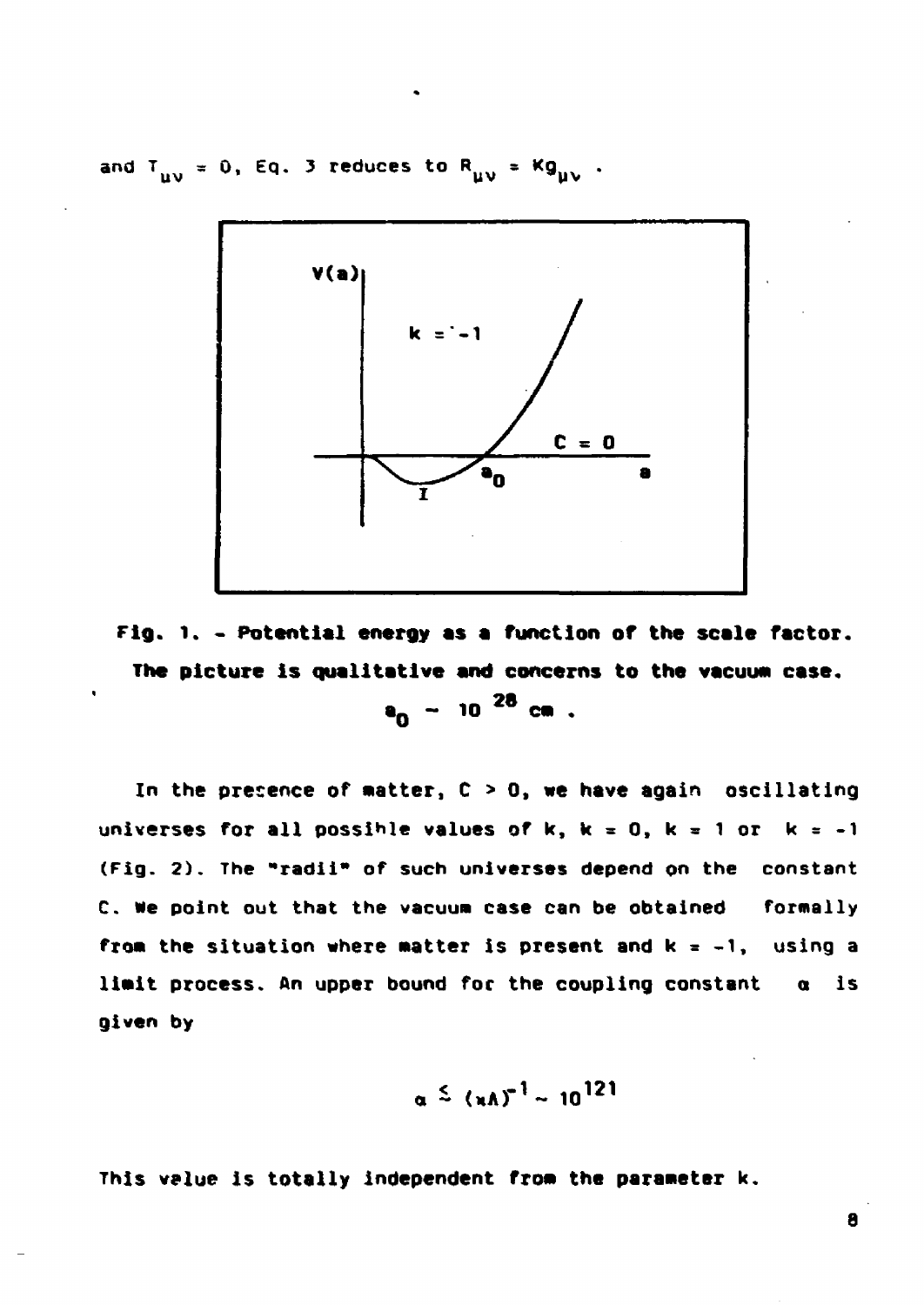**a n d Tuv \* 0( Eq\* <sup>3</sup> reduces to**



**Fig. l. - Potential energy as a function of the scale factor. The picture is qualitative and concerns to the vacuum case. aQ** - **10** <sup>2</sup> <sup>8</sup> **ca** .

In the presence of matter, C > 0, we have again oscillating universes for all possible values of  $k$ ,  $k = 0$ ,  $k = 1$  or  $k = -1$ (Fig. 2). The "radii\* of such universes depend on the constant C. Me point out that the vacuum case can be obtained formally **froa** the situation where natter is present and k = -1, using a limit process. An upper bound for the coupling constant  $\alpha$  is given by

$$
\alpha \stackrel{<}{=} (nA)^{-1} \sim 10^{121}
$$

This value is totally independent fro» **the parameter k.**